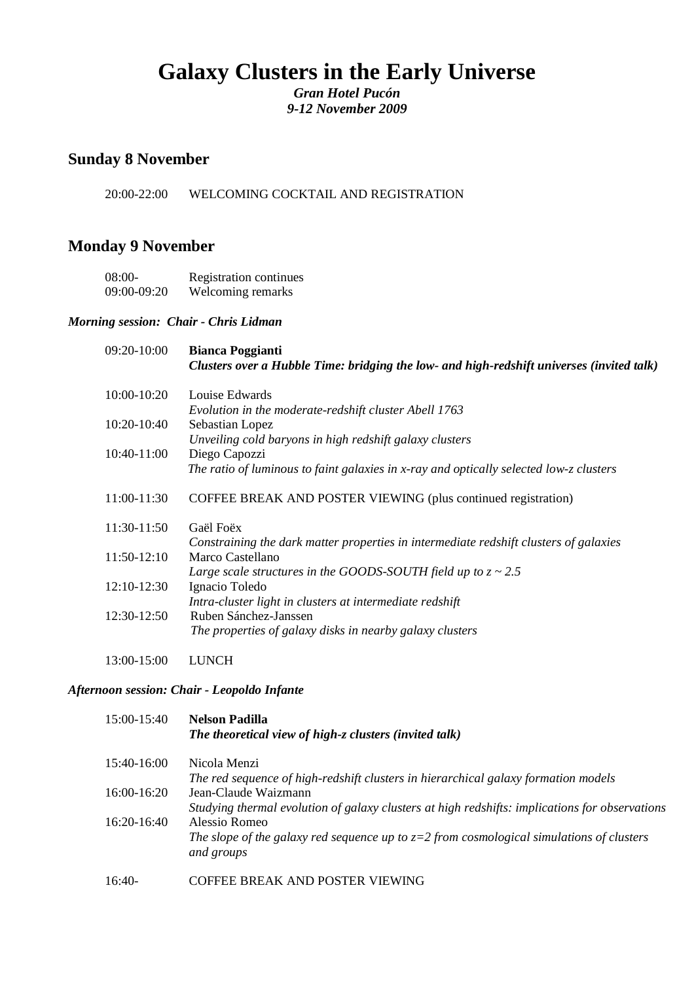# **Galaxy Clusters in the Early Universe**

*Gran Hotel Pucón 9-12 November 2009*

### **Sunday 8 November**

20:00-22:00 WELCOMING COCKTAIL AND REGISTRATION

## **Monday 9 November**

08:00- Registration continues 09:00-09:20 Welcoming remarks

#### *Morning session: Chair - Chris Lidman*

| 09:20-10:00 | <b>Bianca Poggianti</b><br>Clusters over a Hubble Time: bridging the low- and high-redshift universes (invited talk) |
|-------------|----------------------------------------------------------------------------------------------------------------------|
| 10:00-10:20 | Louise Edwards                                                                                                       |
|             | Evolution in the moderate-redshift cluster Abell 1763                                                                |
| 10:20-10:40 | Sebastian Lopez                                                                                                      |
|             | Unveiling cold baryons in high redshift galaxy clusters                                                              |
| 10:40-11:00 | Diego Capozzi                                                                                                        |
|             | The ratio of luminous to faint galaxies in x-ray and optically selected low-z clusters                               |
| 11:00-11:30 | COFFEE BREAK AND POSTER VIEWING (plus continued registration)                                                        |
| 11:30-11:50 | Gaël Foëx                                                                                                            |
|             | Constraining the dark matter properties in intermediate redshift clusters of galaxies                                |
| 11:50-12:10 | Marco Castellano                                                                                                     |
|             | Large scale structures in the GOODS-SOUTH field up to $z \sim 2.5$                                                   |
| 12:10-12:30 | Ignacio Toledo                                                                                                       |
|             | Intra-cluster light in clusters at intermediate redshift                                                             |
| 12:30-12:50 | Ruben Sánchez-Janssen                                                                                                |
|             | The properties of galaxy disks in nearby galaxy clusters                                                             |
| 13:00-15:00 | <b>LUNCH</b>                                                                                                         |

#### *Afternoon session: Chair - Leopoldo Infante*

| 15:00-15:40   | <b>Nelson Padilla</b><br>The theoretical view of high-z clusters (invited talk)                          |
|---------------|----------------------------------------------------------------------------------------------------------|
| 15:40-16:00   | Nicola Menzi                                                                                             |
|               | The red sequence of high-redshift clusters in hierarchical galaxy formation models                       |
| 16:00-16:20   | Jean-Claude Waizmann                                                                                     |
|               | Studying thermal evolution of galaxy clusters at high redshifts: implications for observations           |
| $16:20-16:40$ | Alessio Romeo                                                                                            |
|               | The slope of the galaxy red sequence up to $z=2$ from cosmological simulations of clusters<br>and groups |
| $16:40-$      | COFFEE BREAK AND POSTER VIEWING                                                                          |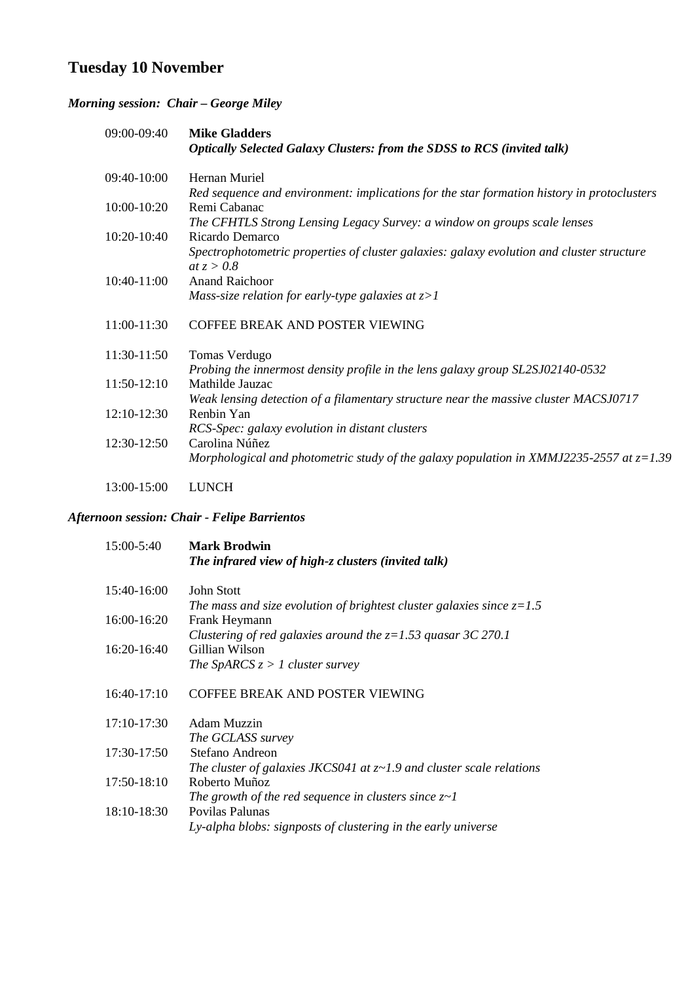# **Tuesday 10 November**

## *Morning session: Chair – George Miley*

| 09:00-09:40 | <b>Mike Gladders</b><br><b>Optically Selected Galaxy Clusters: from the SDSS to RCS (invited talk)</b> |
|-------------|--------------------------------------------------------------------------------------------------------|
|             |                                                                                                        |
| 09:40-10:00 | Hernan Muriel                                                                                          |
|             | Red sequence and environment: implications for the star formation history in protoclusters             |
| 10:00-10:20 | Remi Cabanac                                                                                           |
|             | The CFHTLS Strong Lensing Legacy Survey: a window on groups scale lenses                               |
| 10:20-10:40 | Ricardo Demarco                                                                                        |
|             | Spectrophotometric properties of cluster galaxies: galaxy evolution and cluster structure              |
|             | at $z > 0.8$                                                                                           |
| 10:40-11:00 | <b>Anand Raichoor</b>                                                                                  |
|             | Mass-size relation for early-type galaxies at $z>1$                                                    |
| 11:00-11:30 | COFFEE BREAK AND POSTER VIEWING                                                                        |
| 11:30-11:50 | Tomas Verdugo                                                                                          |
|             | Probing the innermost density profile in the lens galaxy group SL2SJ02140-0532                         |
| 11:50-12:10 | Mathilde Jauzac                                                                                        |
|             | Weak lensing detection of a filamentary structure near the massive cluster MACSJ0717                   |
| 12:10-12:30 | Renbin Yan                                                                                             |
|             | RCS-Spec: galaxy evolution in distant clusters                                                         |
| 12:30-12:50 | Carolina Núñez                                                                                         |
|             | Morphological and photometric study of the galaxy population in XMMJ2235-2557 at $z=1.39$              |
| 13:00-15:00 | <b>LUNCH</b>                                                                                           |

## *Afternoon session: Chair - Felipe Barrientos*

| 15:00-5:40    | <b>Mark Brodwin</b><br>The infrared view of high-z clusters (invited talk)  |
|---------------|-----------------------------------------------------------------------------|
| 15:40-16:00   | John Stott                                                                  |
|               | The mass and size evolution of brightest cluster galaxies since $z=1.5$     |
| 16:00-16:20   | Frank Heymann                                                               |
|               | Clustering of red galaxies around the $z=1.53$ quasar 3C 270.1              |
| $16:20-16:40$ | Gillian Wilson                                                              |
|               | The SpARCS $z > 1$ cluster survey                                           |
| $16:40-17:10$ | COFFEE BREAK AND POSTER VIEWING                                             |
| 17:10-17:30   | Adam Muzzin                                                                 |
|               | The GCLASS survey                                                           |
| 17:30-17:50   | Stefano Andreon                                                             |
|               | The cluster of galaxies JKCS041 at $z \sim 1.9$ and cluster scale relations |
| 17:50-18:10   | Roberto Muñoz                                                               |
|               | The growth of the red sequence in clusters since $z \sim l$                 |
| 18:10-18:30   | Povilas Palunas                                                             |
|               | Ly-alpha blobs: signposts of clustering in the early universe               |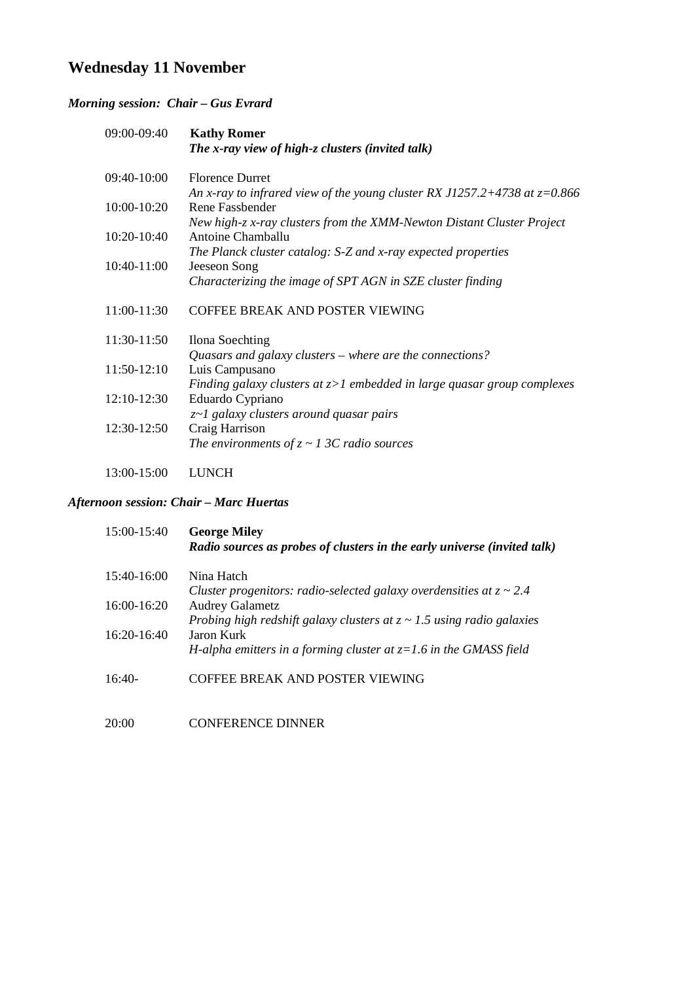# **Wednesday 11 November**

### *Morning session: Chair – Gus Evrard*

| 09:00-09:40 | <b>Kathy Romer</b><br>The x-ray view of high-z clusters (invited talk)                     |
|-------------|--------------------------------------------------------------------------------------------|
| 09:40-10:00 | <b>Florence Durret</b>                                                                     |
|             | An x-ray to infrared view of the young cluster RX J1257.2+4738 at $z=0.866$                |
| 10:00-10:20 | Rene Fassbender                                                                            |
| 10:20-10:40 | New high-z x-ray clusters from the XMM-Newton Distant Cluster Project<br>Antoine Chamballu |
|             | The Planck cluster catalog: S-Z and x-ray expected properties                              |
| 10:40-11:00 | Jeeseon Song                                                                               |
|             | Characterizing the image of SPT AGN in SZE cluster finding                                 |
| 11:00-11:30 | COFFEE BREAK AND POSTER VIEWING                                                            |
| 11:30-11:50 | Ilona Soechting                                                                            |
|             | Quasars and galaxy clusters $-$ where are the connections?                                 |
| 11:50-12:10 | Luis Campusano                                                                             |
|             | Finding galaxy clusters at $z>1$ embedded in large quasar group complexes                  |
| 12:10-12:30 | Eduardo Cypriano                                                                           |
|             | z~1 galaxy clusters around quasar pairs                                                    |
| 12:30-12:50 | Craig Harrison                                                                             |
|             | The environments of $z \sim 13C$ radio sources                                             |
| 13:00-15:00 | <b>LUNCH</b>                                                                               |

#### *Afternoon session: Chair – Marc Huertas*

| 15:00-15:40   | <b>George Miley</b><br>Radio sources as probes of clusters in the early universe (invited talk) |
|---------------|-------------------------------------------------------------------------------------------------|
| 15:40-16:00   | Nina Hatch                                                                                      |
|               | Cluster progenitors: radio-selected galaxy overdensities at $z \sim 2.4$                        |
| $16:00-16:20$ | <b>Audrey Galametz</b>                                                                          |
|               | Probing high redshift galaxy clusters at $z \sim 1.5$ using radio galaxies                      |
| $16:20-16:40$ | Jaron Kurk                                                                                      |
|               | H-alpha emitters in a forming cluster at $z=1.6$ in the GMASS field                             |
| $16:40-$      | COFFEE BREAK AND POSTER VIEWING                                                                 |
| 20:00         | CONFERENCE DINNER                                                                               |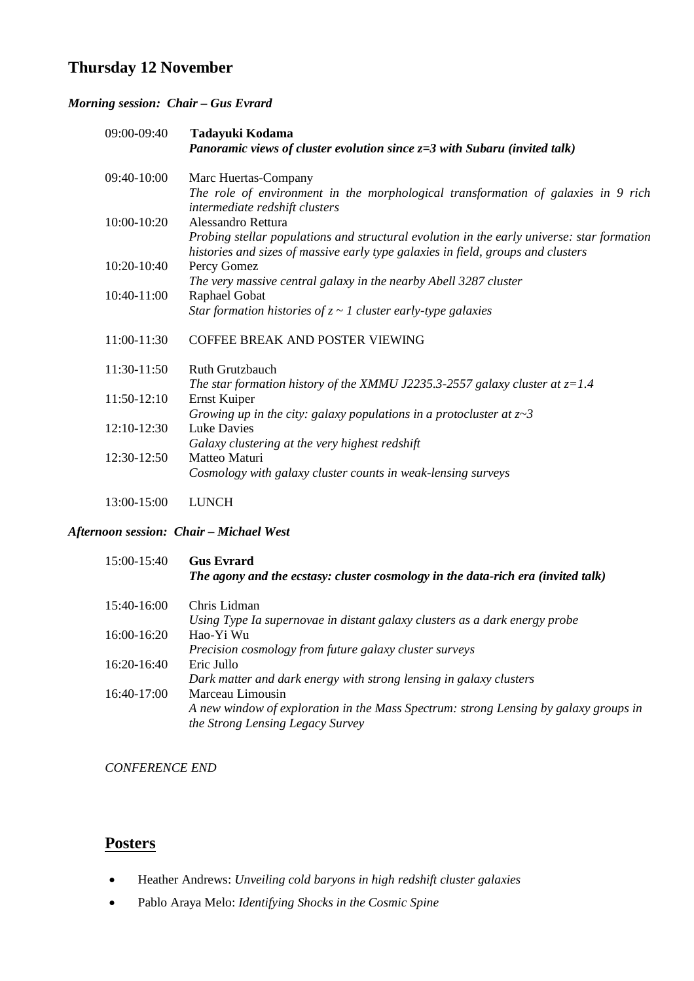### **Thursday 12 November**

### *Morning session: Chair – Gus Evrard*

| 09:00-09:40 | Tadayuki Kodama<br>Panoramic views of cluster evolution since $z=3$ with Subaru (invited talk)                                                                                 |
|-------------|--------------------------------------------------------------------------------------------------------------------------------------------------------------------------------|
| 09:40-10:00 | Marc Huertas-Company                                                                                                                                                           |
|             | The role of environment in the morphological transformation of galaxies in 9 rich<br>intermediate redshift clusters                                                            |
| 10:00-10:20 | Alessandro Rettura                                                                                                                                                             |
|             | Probing stellar populations and structural evolution in the early universe: star formation<br>histories and sizes of massive early type galaxies in field, groups and clusters |
| 10:20-10:40 | Percy Gomez                                                                                                                                                                    |
|             | The very massive central galaxy in the nearby Abell 3287 cluster                                                                                                               |
| 10:40-11:00 | Raphael Gobat                                                                                                                                                                  |
|             | Star formation histories of $z \sim 1$ cluster early-type galaxies                                                                                                             |
| 11:00-11:30 | COFFEE BREAK AND POSTER VIEWING                                                                                                                                                |
| 11:30-11:50 | <b>Ruth Grutzbauch</b>                                                                                                                                                         |
|             | The star formation history of the XMMU J2235.3-2557 galaxy cluster at $z=1.4$                                                                                                  |
| 11:50-12:10 | Ernst Kuiper                                                                                                                                                                   |
|             | Growing up in the city: galaxy populations in a protocluster at $z \sim 3$                                                                                                     |
| 12:10-12:30 | <b>Luke Davies</b>                                                                                                                                                             |
|             | Galaxy clustering at the very highest redshift                                                                                                                                 |
| 12:30-12:50 | Matteo Maturi                                                                                                                                                                  |
|             | Cosmology with galaxy cluster counts in weak-lensing surveys                                                                                                                   |
| 13:00-15:00 | <b>LUNCH</b>                                                                                                                                                                   |

#### *Afternoon session: Chair – Michael West*

| 15:00-15:40   | <b>Gus Evrard</b><br>The agony and the ecstasy: cluster cosmology in the data-rich era (invited talk)                    |
|---------------|--------------------------------------------------------------------------------------------------------------------------|
| $15:40-16:00$ | Chris Lidman                                                                                                             |
|               | Using Type Ia supernovae in distant galaxy clusters as a dark energy probe                                               |
| $16:00-16:20$ | Hao-Yi Wu                                                                                                                |
|               | Precision cosmology from future galaxy cluster surveys                                                                   |
| $16:20-16:40$ | Eric Jullo                                                                                                               |
|               | Dark matter and dark energy with strong lensing in galaxy clusters                                                       |
| $16:40-17:00$ | Marceau Limousin                                                                                                         |
|               | A new window of exploration in the Mass Spectrum: strong Lensing by galaxy groups in<br>the Strong Lensing Legacy Survey |
|               |                                                                                                                          |

*CONFERENCE END*

## **Posters**

- Heather Andrews: *Unveiling cold baryons in high redshift cluster galaxies*
- Pablo Araya Melo: *Identifying Shocks in the Cosmic Spine*